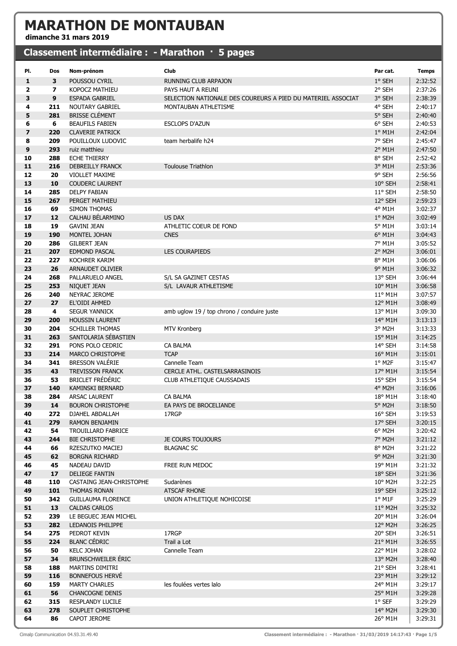## MARATHON DE MONTAUBAN

dimanche 31 mars 2019

## Classement intermédiaire : - Marathon · 5 pages

| PI.                     | Dos        | Nom-prénom                                        | Club                                                         | Par cat.                 | <b>Temps</b>       |
|-------------------------|------------|---------------------------------------------------|--------------------------------------------------------------|--------------------------|--------------------|
| 1                       | 3          | POUSSOU CYRIL                                     | <b>RUNNING CLUB ARPAJON</b>                                  | 1° SEH                   | 2:32:52            |
| $\mathbf{2}$            | 7          | KOPOCZ MATHIEU                                    | PAYS HAUT A REUNI                                            | 2° SEH                   | 2:37:26            |
| 3                       | 9          | <b>ESPADA GABRIEL</b>                             | SELECTION NATIONALE DES COUREURS A PIED DU MATERIEL ASSOCIAT | 3° SEH                   | 2:38:39            |
| 4                       | 211        | <b>NOUTARY GABRIEL</b>                            | MONTAUBAN ATHLETISME                                         | 4° SEH                   | 2:40:17            |
| 5                       | 281        | <b>BRISSE CLÉMENT</b>                             |                                                              | 5° SEH                   | 2:40:40            |
| 6                       | 6          | <b>BEAUFILS FABIEN</b>                            | <b>ESCLOPS D'AZUN</b>                                        | 6° SEH                   | 2:40:53            |
| $\overline{\mathbf{z}}$ | 220        | <b>CLAVERIE PATRICK</b>                           |                                                              | $1^\circ$ M1H            | 2:42:04            |
| 8                       | 209        | POUILLOUX LUDOVIC                                 | team herbalife h24                                           | 7° SEH                   | 2:45:47            |
| 9                       | 293        | ruiz matthieu                                     |                                                              | $2°$ M1H                 | 2:47:50            |
| 10                      | 288        | <b>ECHE THIERRY</b>                               |                                                              | 8° SEH                   | 2:52:42            |
| 11                      | 216        | <b>DEBREILLY FRANCK</b>                           | <b>Toulouse Triathlon</b>                                    | 3° M1H                   | 2:53:36            |
| 12                      | 20         | <b>VIOLLET MAXIME</b>                             |                                                              | 9° SEH                   | 2:56:56            |
| 13                      | 10         | <b>COUDERC LAURENT</b>                            |                                                              | 10° SEH                  | 2:58:41            |
| 14                      | 285        | <b>DELPY FABIAN</b>                               |                                                              | 11° SEH                  | 2:58:50            |
| 15                      | 267        | PERGET MATHIEU                                    |                                                              | 12° SEH                  | 2:59:23            |
| 16                      | 69         | SIMON THOMAS                                      |                                                              | 4° M1H                   | 3:02:37            |
| 17                      | 12         | CALHAU BÉLARMINO                                  | <b>US DAX</b>                                                | $1°$ M2H                 | 3:02:49            |
| 18                      | 19         | <b>GAVINI JEAN</b>                                | ATHLETIC COEUR DE FOND                                       | 5° M1H                   | 3:03:14            |
| 19                      | 190        | MONTEL JOHAN                                      | <b>CNES</b>                                                  | 6° M1H                   | 3:04:43            |
| 20                      | 286        | <b>GILBERT JEAN</b>                               |                                                              | 7° M1H                   | 3:05:52            |
| 21                      | 207        | <b>EDMOND PASCAL</b>                              | <b>LES COURAPIEDS</b>                                        | 2° M2H                   | 3:06:01            |
| 22                      | 227        | KOCHRER KARIM                                     |                                                              | 8° M1H                   | 3:06:06            |
| 23<br>24                | 26         | <b>ARNAUDET OLIVIER</b>                           |                                                              | 9° M1H                   | 3:06:32            |
|                         | 268        | PALLARUELO ANGEL                                  | S/L SA GAZINET CESTAS<br>S/L LAVAUR ATHLETISME               | 13° SEH<br>10° M1H       | 3:06:44            |
| 25<br>26                | 253<br>240 | NIQUET JEAN<br>NEYRAC JEROME                      |                                                              | 11° M1H                  | 3:06:58<br>3:07:57 |
| 27                      | 27         | EL'OIDI AHMED                                     |                                                              | 12° M1H                  | 3:08:49            |
| 28                      | 4          | <b>SEGUR YANNICK</b>                              | amb uglow 19 / top chrono / conduire juste                   | 13° M1H                  | 3:09:30            |
| 29                      | 200        | <b>HOUSSIN LAURENT</b>                            |                                                              | 14° M1H                  | 3:13:13            |
| 30                      | 204        | <b>SCHILLER THOMAS</b>                            | MTV Kronberg                                                 | 3° M2H                   | 3:13:33            |
| 31                      | 263        | SANTOLARIA SÉBASTIEN                              |                                                              | 15° M1H                  | 3:14:25            |
| 32                      | 291        | PONS POLO CEDRIC                                  | <b>CA BALMA</b>                                              | 14° SEH                  | 3:14:58            |
| 33                      | 214        | MARCO CHRISTOPHE                                  | <b>TCAP</b>                                                  | 16° M1H                  | 3:15:01            |
| 34                      | 341        | <b>BRESSON VALÉRIE</b>                            | Cannelle Team                                                | 1° M2F                   | 3:15:47            |
| 35                      | 43         | <b>TREVISSON FRANCK</b>                           | CERCLE ATHL. CASTELSARRASINOIS                               | 17° M1H                  | 3:15:54            |
| 36                      | 53         | <b>BRICLET FRÉDÉRIC</b>                           | CLUB ATHLETIQUE CAUSSADAIS                                   | 15° SEH                  | 3:15:54            |
| 37                      | 140        | KAMINSKI BERNARD                                  |                                                              | 4° M2H                   | 3:16:06            |
| 38                      | 284        | ARSAC LAURENT                                     | CA BALMA                                                     | 18° M1H                  | 3:18:40            |
| 39                      | 14         | <b>BOURON CHRISTOPHE</b>                          | EA PAYS DE BROCELIANDE                                       | 5° M2H                   | 3:18:50            |
| 40                      | 272        | DJAHEL ABDALLAH                                   | 17RGP                                                        | 16° SEH                  | 3:19:53            |
| 41                      | 279        | RAMON BENJAMIN                                    |                                                              | 17° SEH                  | 3:20:15            |
| 42                      | 54         | TROUILLARD FABRICE                                |                                                              | $6^{\circ}$ M2H          | 3:20:42            |
| 43                      | 244        | <b>BIE CHRISTOPHE</b>                             | <b>JE COURS TOUJOURS</b>                                     | 7° M2H                   | 3:21:12            |
| 44                      | 66         | RZESZUTKO MACIEJ                                  | <b>BLAGNAC SC</b>                                            | 8° M2H                   | 3:21:22            |
| 45                      | 62         | <b>BORGNA RICHARD</b>                             |                                                              | $9°$ M <sub>2</sub> H    | 3:21:30            |
| 46                      | 45         | NADEAU DAVID                                      | FREE RUN MEDOC                                               | 19° M1H                  | 3:21:32            |
| 47                      | 17         | <b>DELIEGE FANTIN</b>                             |                                                              | 18° SEH                  | 3:21:36            |
| 48                      | 110        | CASTAING JEAN-CHRISTOPHE                          | Sudarènes                                                    | 10° M2H                  | 3:22:25            |
| 49                      | 101        | THOMAS RONAN                                      | <b>ATSCAF RHONE</b>                                          | 19° SEH                  | 3:25:12            |
| 50                      | 342        | <b>GUILLAUMA FLORENCE</b>                         | UNION ATHLETIQUE NOHICOISE                                   | $1^{\circ}$ M1F          | 3:25:29            |
| 51                      | 13         | <b>CALDAS CARLOS</b>                              |                                                              | 11° M2H                  | 3:25:32            |
| 52                      | 239        | LE BEGUEC JEAN MICHEL                             |                                                              | 20° M1H                  | 3:26:04            |
| 53                      | 282        | LEDANOIS PHILIPPE                                 |                                                              | 12° M2H                  | 3:26:25            |
| 54                      | 275        | PEDROT KEVIN                                      | 17RGP                                                        | 20° SEH                  | 3:26:51            |
| 55                      | 224        | <b>BLANC CÉDRIC</b>                               | Trail a Lot                                                  | 21° M1H                  | 3:26:55            |
| 56                      | 50         | <b>KELC JOHAN</b>                                 | Cannelle Team                                                | 22° M1H                  | 3:28:02            |
| 57                      | 34         | <b>BRUNSCHWEILER ERIC</b>                         |                                                              | 13° M2H                  | 3:28:40            |
| 58                      | 188        | MARTINS DIMITRI                                   |                                                              | 21° SEH                  | 3:28:41            |
| 59                      | 116        | <b>BONNEFOUS HERVÉ</b>                            |                                                              | 23° M1H                  | 3:29:12            |
| 60                      | 159        | <b>MARTY CHARLES</b>                              | les foulées vertes lalo                                      | 24° M1H                  | 3:29:17            |
| 61<br>62                | 56<br>315  | <b>CHANCOGNE DENIS</b><br><b>RESPLANDY LUCILE</b> |                                                              | 25° M1H<br>$1^\circ$ SEF | 3:29:28<br>3:29:29 |
| 63                      | 278        | SOUPLET CHRISTOPHE                                |                                                              | 14° M2H                  |                    |
| 64                      | 86         | CAPOT JEROME                                      |                                                              | 26° M1H                  | 3:29:30<br>3:29:31 |
|                         |            |                                                   |                                                              |                          |                    |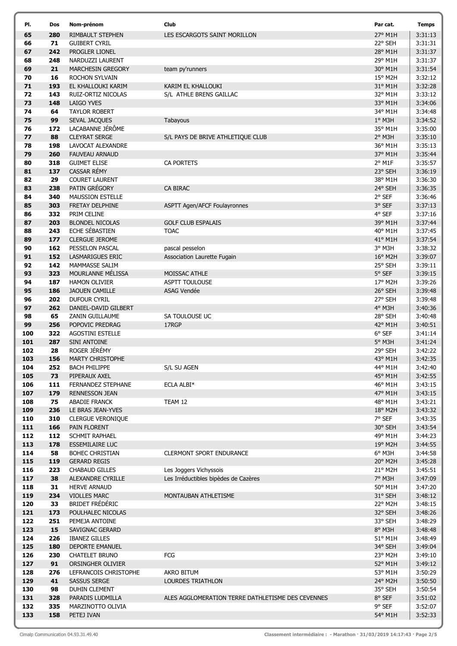| PI.        | Dos        | Nom-prénom                                    | Club                                              | Par cat.           | <b>Temps</b>       |
|------------|------------|-----------------------------------------------|---------------------------------------------------|--------------------|--------------------|
| 65         | 280        | RIMBAULT STEPHEN                              | LES ESCARGOTS SAINT MORILLON                      | 27° M1H            | 3:31:13            |
| 66         | 71         | <b>GUIBERT CYRIL</b>                          |                                                   | 22° SEH            | 3:31:31            |
| 67         | 242        | PROGLER LIONEL                                |                                                   | 28° M1H            | 3:31:37            |
| 68         | 248        | NARDUZZI LAURENT                              |                                                   | 29° M1H            | 3:31:37            |
| 69         | 21         | MARCHESIN GREGORY                             | team py'runners                                   | 30° M1H            | 3:31:54            |
| 70         | 16         | ROCHON SYLVAIN                                |                                                   | 15° M2H            | 3:32:12            |
| 71<br>72   | 193<br>143 | EL KHALLOUKI KARIM<br>RUIZ-ORTIZ NICOLAS      | KARIM EL KHALLOUKI<br>S/L ATHLE BRENS GAILLAC     | 31° M1H<br>32° M1H | 3:32:28<br>3:33:12 |
| 73         | 148        | <b>LAIGO YVES</b>                             |                                                   | 33° M1H            | 3:34:06            |
| 74         | 64         | <b>TAYLOR ROBERT</b>                          |                                                   | 34° M1H            | 3:34:48            |
| 75         | 99         | SEVAL JACQUES                                 | Tabayous                                          | $1°$ M3H           | 3:34:52            |
| 76         | 172        | LACABANNE JÉRÔME                              |                                                   | 35° M1H            | 3:35:00            |
| 77         | 88         | <b>CLEYRAT SERGE</b>                          | S/L PAYS DE BRIVE ATHLETIQUE CLUB                 | 2° M3H             | 3:35:10            |
| 78         | 198        | LAVOCAT ALEXANDRE                             |                                                   | 36° M1H            | 3:35:13            |
| 79         | 260        | <b>FAUVEAU ARNAUD</b>                         |                                                   | 37° M1H            | 3:35:44            |
| 80         | 318        | <b>GUIMET ELISE</b>                           | <b>CA PORTETS</b>                                 | 2° M1F             | 3:35:57            |
| 81         | 137        | CASSAR RÉMY                                   |                                                   | 23° SEH            | 3:36:19            |
| 82         | 29         | <b>COURET LAURENT</b>                         |                                                   | 38° M1H            | 3:36:30            |
| 83         | 238        | PATIN GRÉGORY                                 | <b>CA BIRAC</b>                                   | 24° SEH            | 3:36:35            |
| 84<br>85   | 340        | <b>MAUSSION ESTELLE</b>                       |                                                   | 2° SEF             | 3:36:46<br>3:37:13 |
| 86         | 303<br>332 | FRETAY DELPHINE<br>PRIM CELINE                | <b>ASPTT Agen/AFCF Foulayronnes</b>               | 3° SEF<br>4° SEF   | 3:37:16            |
| 87         | 203        | <b>BLONDEL NICOLAS</b>                        | <b>GOLF CLUB ESPALAIS</b>                         | 39° M1H            | 3:37:44            |
| 88         | 243        | ECHE SÉBASTIEN                                | <b>TOAC</b>                                       | 40° M1H            | 3:37:45            |
| 89         | 177        | <b>CLERGUE JEROME</b>                         |                                                   | 41° M1H            | 3:37:54            |
| 90         | 162        | PESSELON PASCAL                               | pascal pesselon                                   | 3° M3H             | 3:38:32            |
| 91         | 152        | LASMARIGUES ERIC                              | Association Laurette Fugain                       | 16° M2H            | 3:39:07            |
| 92         | 142        | MAMMASSE SALIM                                |                                                   | 25° SEH            | 3:39:11            |
| 93         | 323        | MOURLANNE MÉLISSA                             | MOISSAC ATHLE                                     | 5° SEF             | 3:39:15            |
| 94         | 187        | <b>HAMON OLIVIER</b>                          | ASPTT TOULOUSE                                    | 17° M2H            | 3:39:26            |
| 95         | 186        | <b>JAOUEN CAMILLE</b>                         | ASAG Vendée                                       | 26° SEH            | 3:39:48            |
| 96         | 202        | DUFOUR CYRIL                                  |                                                   | 27° SEH            | 3:39:48            |
| 97         | 262        | DANIEL-DAVID GILBERT                          |                                                   | 4° M3H             | 3:40:36            |
| 98<br>99   | 65<br>256  | ZANIN GUILLAUME<br>POPOVIC PREDRAG            | SA TOULOUSE UC<br>17RGP                           | 28° SEH<br>42° M1H | 3:40:48<br>3:40:51 |
| 100        | 322        | <b>AGOSTINI ESTELLE</b>                       |                                                   | $6^{\circ}$ SEF    | 3:41:14            |
| 101        | 287        | SINI ANTOINE                                  |                                                   | 5° M3H             | 3:41:24            |
| 102        | 28         | ROGER JÉRÉMY                                  |                                                   | 29° SEH            | 3:42:22            |
| 103        | 156        | <b>MARTY CHRISTOPHE</b>                       |                                                   | 43° M1H            | 3:42:35            |
| 104        | 252        | <b>BACH PHILIPPE</b>                          | S/L SU AGEN                                       | 44° M1H            | 3:42:40            |
| 105        | 73         | PIPERAUX AXEL                                 |                                                   | 45° M1H            | 3:42:55            |
| 106        | 111        | FERNANDEZ STEPHANE                            | ECLA ALBI*                                        | 46° M1H            | 3:43:15            |
| 107        | 179        | <b>RENNESSON JEAN</b>                         |                                                   | 47° M1H            | 3:43:15            |
| 108        | 75         | <b>ABADIE FRANCK</b>                          | TEAM 12                                           | 48° M1H            | 3:43:21            |
| 109<br>110 | 236<br>310 | LE BRAS JEAN-YVES<br><b>CLERGUE VERONIQUE</b> |                                                   | 18° M2H<br>7° SEF  | 3:43:32<br>3:43:35 |
| 111        | 166        | PAIN FLORENT                                  |                                                   | 30° SEH            | 3:43:54            |
| 112        | 112        | SCHMIT RAPHAEL                                |                                                   | 49° M1H            | 3:44:23            |
| 113        | 178        | <b>ESSEMILAIRE LUC</b>                        |                                                   | 19° M2H            | 3:44:55            |
| 114        | 58         | <b>BOHEC CHRISTIAN</b>                        | <b>CLERMONT SPORT ENDURANCE</b>                   | $6^{\circ}$ M3H    | 3:44:58            |
| 115        | 119        | <b>GERARD REGIS</b>                           |                                                   | 20° M2H            | 3:45:28            |
| 116        | 223        | <b>CHABAUD GILLES</b>                         | Les Joggers Vichyssois                            | 21° M2H            | 3:45:51            |
| 117        | 38         | ALEXANDRE CYRILLE                             | Les Irréductibles bipèdes de Cazères              | 7° M3H             | 3:47:09            |
| 118        | 31         | <b>HERVE ARNAUD</b>                           |                                                   | 50° M1H            | 3:47:20            |
| 119        | 234        | <b>VIOLLES MARC</b>                           | MONTAUBAN ATHLETISME                              | 31° SEH            | 3:48:12            |
| 120<br>121 | 33<br>173  | <b>BRIDET FRÉDÉRIC</b><br>POULHALEC NICOLAS   |                                                   | 22° M2H<br>32° SEH | 3:48:15<br>3:48:26 |
| 122        | 251        | PEMEJA ANTOINE                                |                                                   | 33° SEH            | 3:48:29            |
| 123        | 15         | SAVIGNAC GERARD                               |                                                   | 8° M3H             | 3:48:48            |
| 124        | 226        | <b>IBANEZ GILLES</b>                          |                                                   | 51° M1H            | 3:48:49            |
| 125        | 180        | <b>DEPORTE EMANUEL</b>                        |                                                   | 34° SEH            | 3:49:04            |
| 126        | 230        | CHATELET BRUNO                                | FCG                                               | 23° M2H            | 3:49:10            |
| 127        | 91         | ORSINGHER OLIVIER                             |                                                   | 52° M1H            | 3:49:12            |
| 128        | 276        | LEFRANCOIS CHRISTOPHE                         | AKRO BITUM                                        | 53° M1H            | 3:50:29            |
| 129        | 41         | <b>SASSUS SERGE</b>                           | LOURDES TRIATHLON                                 | 24° M2H            | 3:50:50            |
| 130        | 98         | <b>DUHIN CLEMENT</b>                          |                                                   | 35° SEH            | 3:50:54            |
| 131        | 328<br>335 | PARADIS LUDMILLA                              | ALES AGGLOMERATION TERRE DATHLETISME DES CEVENNES | 8° SEF             | 3:51:02            |
| 132<br>133 | 158        | MARZINOTTO OLIVIA<br>PETEJ IVAN               |                                                   | 9° SEF<br>54° M1H  | 3:52:07<br>3:52:33 |
|            |            |                                               |                                                   |                    |                    |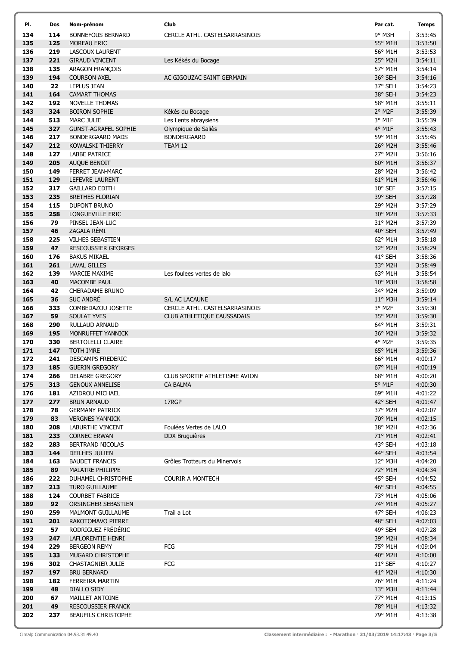| PI.        | Dos        | Nom-prénom                                    | Club                              | Par cat.           | <b>Temps</b>       |
|------------|------------|-----------------------------------------------|-----------------------------------|--------------------|--------------------|
| 134        | 114        | <b>BONNEFOUS BERNARD</b>                      | CERCLE ATHL. CASTELSARRASINOIS    | 9° M3H             | 3:53:45            |
| 135        | 125        | MOREAU ERIC                                   |                                   | 55° M1H            | 3:53:50            |
| 136        | 219        | LASCOUX LAURENT                               |                                   | 56° M1H            | 3:53:53            |
| 137        | 221        | <b>GIRAUD VINCENT</b>                         | Les Kékés du Bocage               | 25° M2H            | 3:54:11            |
| 138        | 135        | ARAGON FRANÇOIS                               |                                   | 57° M1H            | 3:54:14            |
| 139        | 194        | <b>COURSON AXEL</b>                           | AC GIGOUZAC SAINT GERMAIN         | 36° SEH            | 3:54:16            |
| 140<br>141 | 22<br>164  | LEPLUS JEAN                                   |                                   | 37° SEH            | 3:54:23<br>3:54:23 |
| 142        | 192        | <b>CAMART THOMAS</b><br><b>NOVELLE THOMAS</b> |                                   | 38° SEH<br>58° M1H | 3:55:11            |
| 143        | 324        | <b>BOIRON SOPHIE</b>                          | Kékés du Bocage                   | 2° M2F             | 3:55:39            |
| 144        | 513        | <b>MARC JULIE</b>                             | Les Lents abraysiens              | 3° M1F             | 3:55:39            |
| 145        | 327        | <b>GUNST-AGRAFEL SOPHIE</b>                   | Olympique de Saliès               | 4° M1F             | 3:55:43            |
| 146        | 217        | <b>BONDERGAARD MADS</b>                       | <b>BONDERGAARD</b>                | 59° M1H            | 3:55:45            |
| 147        | 212        | <b>KOWALSKI THIERRY</b>                       | TEAM 12                           | 26° M2H            | 3:55:46            |
| 148        | 127        | LABBE PATRICE                                 |                                   | 27° M2H            | 3:56:16            |
| 149        | 205        | AUQUE BENOIT                                  |                                   | 60° M1H            | 3:56:37            |
| 150        | 149        | FERRET JEAN-MARC                              |                                   | 28° M2H            | 3:56:42            |
| 151        | 129        | <b>LEFEVRE LAURENT</b>                        |                                   | $61^{\circ}$ M1H   | 3:56:46            |
| 152        | 317        | <b>GAILLARD EDITH</b>                         |                                   | 10° SEF            | 3:57:15            |
| 153        | 235        | <b>BRETHES FLORIAN</b>                        |                                   | 39° SEH            | 3:57:28            |
| 154        | 115        | <b>DUPONT BRUNO</b>                           |                                   | 29° M2H            | 3:57:29            |
| 155<br>156 | 258<br>79  | LONGUEVILLE ERIC<br>PINSEL JEAN-LUC           |                                   | 30° M2H<br>31° M2H | 3:57:33<br>3:57:39 |
| 157        | 46         | ZAGALA RÉMI                                   |                                   | 40° SEH            | 3:57:49            |
| 158        | 225        | <b>VILHES SEBASTIEN</b>                       |                                   | 62° M1H            | 3:58:18            |
| 159        | 47         | <b>RESCOUSSIER GEORGES</b>                    |                                   | 32° M2H            | 3:58:29            |
| 160        | 176        | <b>BAKUS MIKAEL</b>                           |                                   | 41° SEH            | 3:58:36            |
| 161        | 261        | <b>LAVAL GILLES</b>                           |                                   | 33° M2H            | 3:58:49            |
| 162        | 139        | MARCIE MAXIME                                 | Les foulees vertes de lalo        | 63° M1H            | 3:58:54            |
| 163        | 40         | MACOMBE PAUL                                  |                                   | 10° M3H            | 3:58:58            |
| 164        | 42         | CHERADAME BRUNO                               |                                   | 34° M2H            | 3:59:09            |
| 165        | 36         | <b>SUC ANDRÉ</b>                              | S/L AC LACAUNE                    | $11^{\circ}$ M3H   | 3:59:14            |
| 166        | 333        | COMBEDAZOU JOSETTE                            | CERCLE ATHL. CASTELSARRASINOIS    | 3° M2F             | 3:59:30            |
| 167        | 59         | <b>SOULAT YVES</b>                            | <b>CLUB ATHLETIQUE CAUSSADAIS</b> | 35° M2H            | 3:59:30            |
| 168        | 290        | RULLAUD ARNAUD                                |                                   | 64° M1H            | 3:59:31            |
| 169<br>170 | 195<br>330 | MONRUFFET YANNICK<br>BERTOLELLI CLAIRE        |                                   | 36° M2H<br>4° M2F  | 3:59:32<br>3:59:35 |
| 171        | 147        | <b>TOTH IMRE</b>                              |                                   | 65° M1H            | 3:59:36            |
| 172        | 241        | <b>DESCAMPS FREDERIC</b>                      |                                   | 66° M1H            | 4:00:17            |
| 173        | 185        | <b>GUERIN GREGORY</b>                         |                                   | 67° M1H            | 4:00:19            |
| 174        | 266        | <b>DELABRE GREGORY</b>                        | CLUB SPORTIF ATHLETISME AVION     | 68° M1H            | 4:00:20            |
| 175        | 313        | <b>GENOUX ANNELISE</b>                        | CA BALMA                          | 5° M1F             | 4:00:30            |
| 176        | 181        | AZIDROU MICHAEL                               |                                   | 69° M1H            | 4:01:22            |
| 177        | 277        | <b>BRUN ARNAUD</b>                            | 17RGP                             | 42° SEH            | 4:01:47            |
| 178        | 78         | <b>GERMANY PATRICK</b>                        |                                   | 37° M2H            | 4:02:07            |
| 179        | 83         | <b>VERGNES YANNICK</b>                        |                                   | 70° M1H            | 4:02:15            |
| 180        | 208        | <b>LABURTHE VINCENT</b>                       | Foulées Vertes de LALO            | 38° M2H            | 4:02:36            |
| 181<br>182 | 233<br>283 | <b>CORNEC ERWAN</b><br>BERTRAND NICOLAS       | <b>DDX Bruguières</b>             | 71° M1H<br>43° SEH | 4:02:41<br>4:03:18 |
| 183        | 144        | DEILHES JULIEN                                |                                   | 44° SEH            | 4:03:54            |
| 184        | 163        | <b>BAUDET FRANCIS</b>                         | Grôles Trotteurs du Minervois     | 12° M3H            | 4:04:20            |
| 185        | 89         | <b>MALATRE PHILIPPE</b>                       |                                   | 72° M1H            | 4:04:34            |
| 186        | 222        | DUHAMEL CHRISTOPHE                            | <b>COURIR A MONTECH</b>           | 45° SEH            | 4:04:52            |
| 187        | 213        | TURO GUILLAUME                                |                                   | 46° SEH            | 4:04:55            |
| 188        | 124        | <b>COURBET FABRICE</b>                        |                                   | 73° M1H            | 4:05:06            |
| 189        | 92         | ORSINGHER SEBASTIEN                           |                                   | 74° M1H            | 4:05:27            |
| 190        | 259        | <b>MALMONT GUILLAUME</b>                      | Trail a Lot                       | 47° SEH            | 4:06:23            |
| 191        | 201        | RAKOTOMAVO PIERRE                             |                                   | 48° SEH            | 4:07:03            |
| 192        | 57         | RODRIGUEZ FRÉDÉRIC                            |                                   | 49° SEH            | 4:07:28            |
| 193<br>194 | 247<br>229 | LAFLORENTIE HENRI<br><b>BERGEON REMY</b>      | FCG                               | 39° M2H<br>75° M1H | 4:08:34<br>4:09:04 |
| 195        | 133        | MUGARD CHRISTOPHE                             |                                   | 40° M2H            | 4:10:00            |
| 196        | 302        | CHASTAGNIER JULIE                             | FCG                               | 11° SEF            | 4:10:27            |
| 197        | 197        | <b>BRU BERNARD</b>                            |                                   | 41° M2H            | 4:10:30            |
| 198        | 182        | FERREIRA MARTIN                               |                                   | 76° M1H            | 4:11:24            |
| 199        | 48         | DIALLO SIDY                                   |                                   | 13° M3H            | 4:11:44            |
| 200        | 67         | MAILLET ANTOINE                               |                                   | 77° M1H            | 4:13:15            |
| 201        | 49         | <b>RESCOUSSIER FRANCK</b>                     |                                   | 78° M1H            | 4:13:32            |
| 202        | 237        | <b>BEAUFILS CHRISTOPHE</b>                    |                                   | 79° M1H            | 4:13:38            |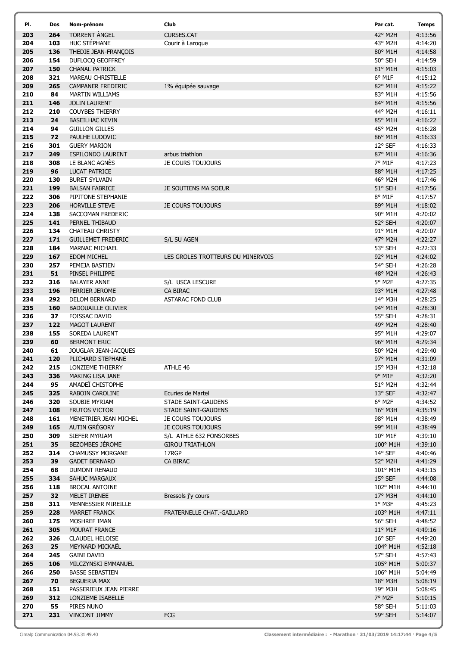| PI.        | Dos        | Nom-prénom                                     | Club                                                   | Par cat.             | <b>Temps</b>       |
|------------|------------|------------------------------------------------|--------------------------------------------------------|----------------------|--------------------|
| 203        | 264        | TORRENT ANGEL                                  | <b>CURSES.CAT</b>                                      | 42° M2H              | 4:13:56            |
| 204        | 103        | HUC STÉPHANE                                   | Courir à Laroque                                       | 43° M2H              | 4:14:20            |
| 205        | 136        | THEDIE JEAN-FRANÇOIS                           |                                                        | 80° M1H              | 4:14:58            |
| 206        | 154        | DUFLOCQ GEOFFREY                               |                                                        | 50° SEH              | 4:14:59            |
| 207        | 150        | <b>CHANAL PATRICK</b>                          |                                                        | 81° M1H              | 4:15:03            |
| 208        | 321        | MAREAU CHRISTELLE                              |                                                        | 6° M1F               | 4:15:12            |
| 209<br>210 | 265<br>84  | <b>CAMPANER FREDERIC</b>                       | 1% équipée sauvage                                     | 82° M1H              | 4:15:22            |
| 211        | 146        | <b>MARTIN WILLIAMS</b><br><b>JOLIN LAURENT</b> |                                                        | 83° M1H<br>84° M1H   | 4:15:56<br>4:15:56 |
| 212        | 210        | <b>COUYBES THIERRY</b>                         |                                                        | 44° M2H              | 4:16:11            |
| 213        | 24         | <b>BASEILHAC KEVIN</b>                         |                                                        | 85° M1H              | 4:16:22            |
| 214        | 94         | <b>GUILLON GILLES</b>                          |                                                        | 45° M2H              | 4:16:28            |
| 215        | 72         | PAULHE LUDOVIC                                 |                                                        | 86° M1H              | 4:16:33            |
| 216        | 301        | <b>GUERY MARION</b>                            |                                                        | 12° SEF              | 4:16:33            |
| 217        | 249        | <b>ESPILONDO LAURENT</b>                       | arbus triathlon                                        | 87° M1H              | 4:16:36            |
| 218        | 308        | LE BLANC AGNÈS                                 | JE COURS TOUJOURS                                      | 7° M1F               | 4:17:23            |
| 219        | 96         | <b>LUCAT PATRICE</b>                           |                                                        | 88° M1H              | 4:17:25            |
| 220        | 130        | <b>BURET SYLVAIN</b>                           |                                                        | 46° M2H              | 4:17:46            |
| 221        | 199        | <b>BALSAN FABRICE</b>                          | JE SOUTIENS MA SOEUR                                   | 51° SEH              | 4:17:56            |
| 222        | 306        | PIPITONE STEPHANIE                             |                                                        | 8° M1F               | 4:17:57            |
| 223<br>224 | 206<br>138 | <b>HORVILLE STEVE</b><br>SACCOMAN FREDERIC     | <b>JE COURS TOUJOURS</b>                               | 89° M1H<br>90° M1H   | 4:18:02<br>4:20:02 |
| 225        | 141        | PERNEL THIBAUD                                 |                                                        | 52° SEH              | 4:20:07            |
| 226        | 134        | <b>CHATEAU CHRISTY</b>                         |                                                        | 91° M1H              | 4:20:07            |
| 227        | 171        | <b>GUILLEMET FREDERIC</b>                      | S/L SU AGEN                                            | 47° M2H              | 4:22:27            |
| 228        | 184        | MARNAC MICHAEL                                 |                                                        | 53° SEH              | 4:22:33            |
| 229        | 167        | <b>EDOM MICHEL</b>                             | LES GROLES TROTTEURS DU MINERVOIS                      | 92° M1H              | 4:24:02            |
| 230        | 257        | PEMEJA BASTIEN                                 |                                                        | 54° SEH              | 4:26:28            |
| 231        | 51         | PINSEL PHILIPPE                                |                                                        | 48° M2H              | 4:26:43            |
| 232        | 316        | <b>BALAYER ANNE</b>                            | S/L USCA LESCURE                                       | 5° M2F               | 4:27:35            |
| 233        | 196        | PERRIER JEROME                                 | CA BIRAC                                               | 93° M1H              | 4:27:48            |
| 234        | 292        | <b>DELOM BERNARD</b>                           | <b>ASTARAC FOND CLUB</b>                               | 14° M3H              | 4:28:25            |
| 235<br>236 | 160<br>37  | <b>BADOUAILLE OLIVIER</b>                      |                                                        | 94° M1H              | 4:28:30<br>4:28:31 |
| 237        | 122        | <b>FOISSAC DAVID</b><br><b>MAGOT LAURENT</b>   |                                                        | 55° SEH<br>49° M2H   | 4:28:40            |
| 238        | 155        | SOREDA LAURENT                                 |                                                        | 95° M1H              | 4:29:07            |
| 239        | 60         | <b>BERMONT ERIC</b>                            |                                                        | 96° M1H              | 4:29:34            |
| 240        | 61         | JOUGLAR JEAN-JACQUES                           |                                                        | 50° M2H              | 4:29:40            |
| 241        | 120        | PLICHARD STEPHANE                              |                                                        | 97° M1H              | 4:31:09            |
| 242        | 215        | LONZIEME THIERRY                               | ATHLE 46                                               | 15° M3H              | 4:32:18            |
| 243        | 336        | MAKING LISA JANE                               |                                                        | 9° M1F               | 4:32:20            |
| 244        | 95         | AMADEÏ CHISTOPHE                               |                                                        | 51° M2H              | 4:32:44            |
| 245        | 325        | RABOIN CAROLINE                                | Ecuries de Martel                                      | 13° SEF              | 4:32:47            |
| 246        | 320        | SOUBIE MYRIAM                                  | STADE SAINT-GAUDENS                                    | 6° M2F               | 4:34:52            |
| 247<br>248 | 108<br>161 | FRUTOS VICTOR<br>MENETRIER JEAN MICHEL         | <b>STADE SAINT-GAUDENS</b><br><b>JE COURS TOUJOURS</b> | 16° M3H<br>98° M1H   | 4:35:19<br>4:38:49 |
| 249        | 165        | AUTIN GRÉGORY                                  | <b>JE COURS TOUJOURS</b>                               | 99° M1H              | 4:38:49            |
| 250        | 309        | SIEFER MYRIAM                                  | S/L ATHLE 632 FONSORBES                                | $10^{\circ}$ M1F     | 4:39:10            |
| 251        | 35         | BEZOMBES JÉROME                                | <b>GIROU TRIATHLON</b>                                 | 100° M1H             | 4:39:10            |
| 252        | 314        | <b>CHAMUSSY MORGANE</b>                        | 17RGP                                                  | 14° SEF              | 4:40:46            |
| 253        | 39         | <b>GADET BERNARD</b>                           | CA BIRAC                                               | 52° M2H              | 4:41:29            |
| 254        | 68         | <b>DUMONT RENAUD</b>                           |                                                        | 101° M1H             | 4:43:15            |
| 255        | 334        | <b>SAHUC MARGAUX</b>                           |                                                        | 15° SEF              | 4:44:08            |
| 256        | 118        | <b>BROCAL ANTOINE</b>                          |                                                        | 102° M1H             | 4:44:10            |
| 257        | 32         | MELET IRENEE                                   | Bressols j'y cours                                     | 17° M3H              | 4:44:10            |
| 258<br>259 | 311<br>228 | MENNESSIER MIREILLE<br><b>MARRET FRANCK</b>    | FRATERNELLE CHAT.-GAILLARD                             | $1°$ M3F<br>103° M1H | 4:45:23<br>4:47:11 |
| 260        | 175        | MOSHREF IMAN                                   |                                                        | 56° SEH              | 4:48:52            |
| 261        | 305        | <b>MOURAT FRANCE</b>                           |                                                        | 11° M1F              | 4:49:16            |
| 262        | 326        | <b>CLAUDEL HELOISE</b>                         |                                                        | $16^{\circ}$ SEF     | 4:49:20            |
| 263        | 25         | <b>MEYNARD MICKAEL</b>                         |                                                        | 104° M1H             | 4:52:18            |
| 264        | 245        | <b>GAINI DAVID</b>                             |                                                        | 57° SEH              | 4:57:43            |
| 265        | 106        | MILCZYNSKI EMMANUEL                            |                                                        | 105° M1H             | 5:00:37            |
| 266        | 250        | <b>BASSE SEBASTIEN</b>                         |                                                        | 106° M1H             | 5:04:49            |
| 267        | 70         | <b>BEGUERIA MAX</b>                            |                                                        | 18° M3H              | 5:08:19            |
| 268        | 151        | PASSERIEUX JEAN PIERRE                         |                                                        | 19° M3H              | 5:08:45            |
| 269        | 312        | LONZIEME ISABELLE                              |                                                        | 7° M2F               | 5:10:15            |
| 270<br>271 | 55<br>231  | PIRES NUNO<br>VINCONT JIMMY                    | FCG                                                    | 58° SEH<br>59° SEH   | 5:11:03<br>5:14:07 |
|            |            |                                                |                                                        |                      |                    |